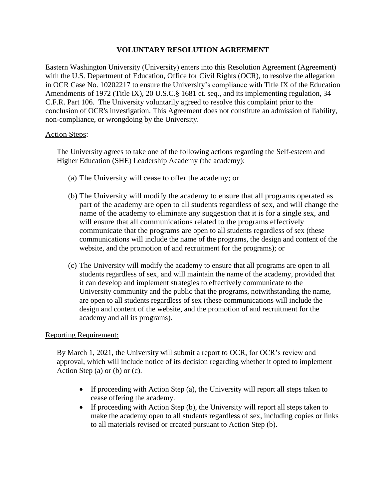## **VOLUNTARY RESOLUTION AGREEMENT**

Eastern Washington University (University) enters into this Resolution Agreement (Agreement) with the U.S. Department of Education, Office for Civil Rights (OCR), to resolve the allegation in OCR Case No. 10202217 to ensure the University's compliance with Title IX of the Education Amendments of 1972 (Title IX), 20 U.S.C.§ 1681 et. seq., and its implementing regulation, 34 C.F.R. Part 106. The University voluntarily agreed to resolve this complaint prior to the conclusion of OCR's investigation. This Agreement does not constitute an admission of liability, non-compliance, or wrongdoing by the University.

## Action Steps:

The University agrees to take one of the following actions regarding the [Self-esteem and](https://inside.ewu.edu/diversityandinclusion/she-leadership-academy/)  [Higher Education \(SHE\) Leadership Academy](https://inside.ewu.edu/diversityandinclusion/she-leadership-academy/) (the academy):

- (a) The University will cease to offer the academy; or
- (b) The University will modify the academy to ensure that all programs operated as part of the academy are open to all students regardless of sex, and will change the name of the academy to eliminate any suggestion that it is for a single sex, and will ensure that all communications related to the programs effectively communicate that the programs are open to all students regardless of sex (these communications will include the name of the programs, the design and content of the website, and the promotion of and recruitment for the programs); or
- (c) The University will modify the academy to ensure that all programs are open to all students regardless of sex, and will maintain the name of the academy, provided that it can develop and implement strategies to effectively communicate to the University community and the public that the programs, notwithstanding the name, are open to all students regardless of sex (these communications will include the design and content of the website, and the promotion of and recruitment for the academy and all its programs).

## Reporting Requirement:

By March 1, 2021, the University will submit a report to OCR, for OCR's review and approval, which will include notice of its decision regarding whether it opted to implement Action Step (a) or (b) or (c).

- If proceeding with Action Step (a), the University will report all steps taken to cease offering the academy.
- If proceeding with Action Step (b), the University will report all steps taken to make the academy open to all students regardless of sex, including copies or links to all materials revised or created pursuant to Action Step (b).